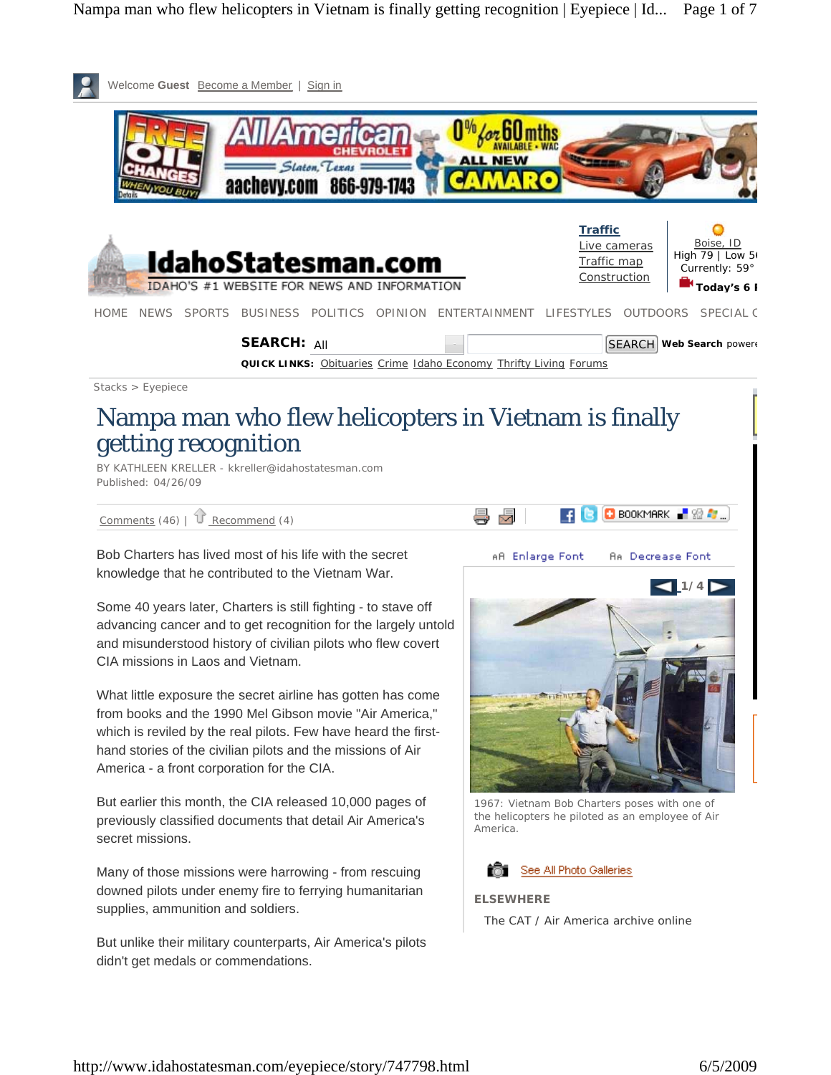

previously classified documents that detail Air America's secret missions.

Many of those missions were harrowing - from rescuing downed pilots under enemy fire to ferrying humanitarian supplies, ammunition and soldiers.

But unlike their military counterparts, Air America's pilots didn't get medals or commendations.



#### **ELSEWHERE**

The CAT / Air America archive online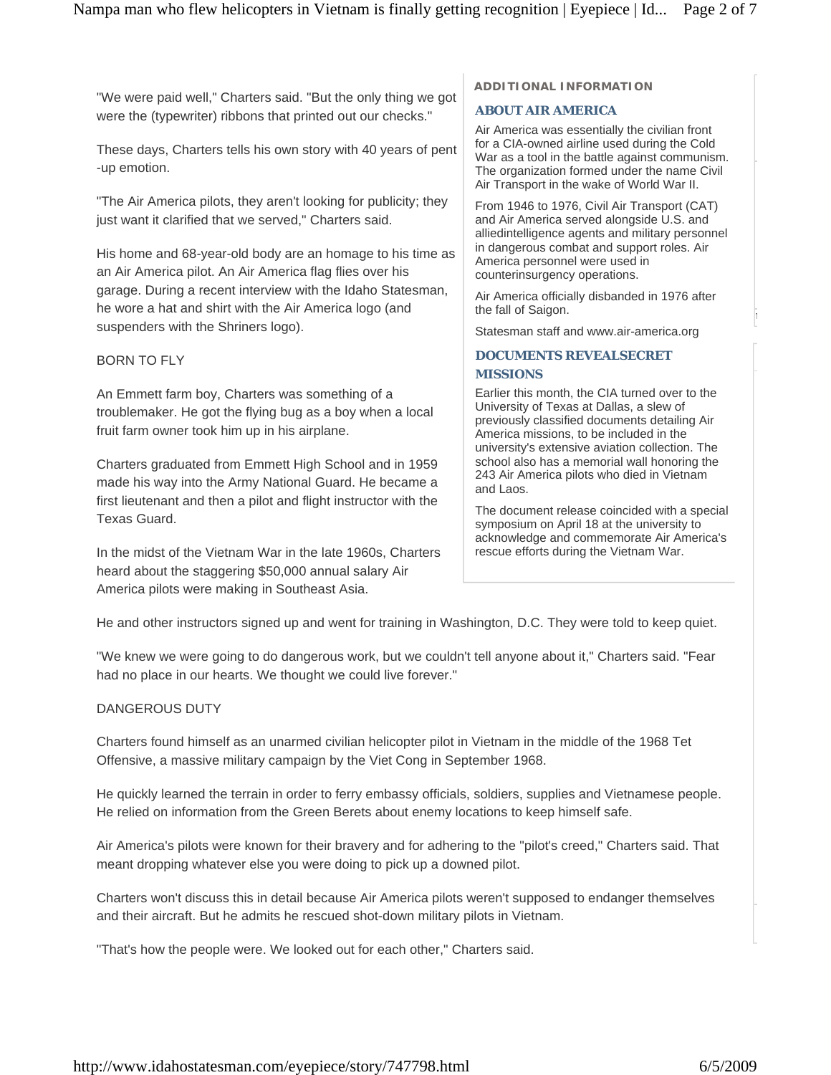"We were paid well," Charters said. "But the only thing we got were the (typewriter) ribbons that printed out our checks."

These days, Charters tells his own story with 40 years of pent -up emotion.

"The Air America pilots, they aren't looking for publicity; they just want it clarified that we served," Charters said.

His home and 68-year-old body are an homage to his time as an Air America pilot. An Air America flag flies over his garage. During a recent interview with the Idaho Statesman, he wore a hat and shirt with the Air America logo (and suspenders with the Shriners logo).

# BORN TO FLY

An Emmett farm boy, Charters was something of a troublemaker. He got the flying bug as a boy when a local fruit farm owner took him up in his airplane.

Charters graduated from Emmett High School and in 1959 made his way into the Army National Guard. He became a first lieutenant and then a pilot and flight instructor with the Texas Guard.

In the midst of the Vietnam War in the late 1960s, Charters heard about the staggering \$50,000 annual salary Air America pilots were making in Southeast Asia.

### **ADDITIONAL INFORMATION**

### **ABOUT AIR AMERICA**

Air America was essentially the civilian front for a CIA-owned airline used during the Cold War as a tool in the battle against communism. The organization formed under the name Civil Air Transport in the wake of World War II.

From 1946 to 1976, Civil Air Transport (CAT) and Air America served alongside U.S. and alliedintelligence agents and military personnel in dangerous combat and support roles. Air America personnel were used in counterinsurgency operations.

Air America officially disbanded in 1976 after the fall of Saigon.

Statesman staff and www.air-america.org

#### **DOCUMENTS REVEALSECRET MISSIONS**

Earlier this month, the CIA turned over to the University of Texas at Dallas, a slew of previously classified documents detailing Air America missions, to be included in the university's extensive aviation collection. The school also has a memorial wall honoring the 243 Air America pilots who died in Vietnam and Laos.

The document release coincided with a special symposium on April 18 at the university to acknowledge and commemorate Air America's rescue efforts during the Vietnam War.

He and other instructors signed up and went for training in Washington, D.C. They were told to keep quiet.

"We knew we were going to do dangerous work, but we couldn't tell anyone about it," Charters said. "Fear had no place in our hearts. We thought we could live forever."

### DANGEROUS DUTY

Charters found himself as an unarmed civilian helicopter pilot in Vietnam in the middle of the 1968 Tet Offensive, a massive military campaign by the Viet Cong in September 1968.

He quickly learned the terrain in order to ferry embassy officials, soldiers, supplies and Vietnamese people. He relied on information from the Green Berets about enemy locations to keep himself safe.

Air America's pilots were known for their bravery and for adhering to the "pilot's creed," Charters said. That meant dropping whatever else you were doing to pick up a downed pilot.

Charters won't discuss this in detail because Air America pilots weren't supposed to endanger themselves and their aircraft. But he admits he rescued shot-down military pilots in Vietnam.

"That's how the people were. We looked out for each other," Charters said.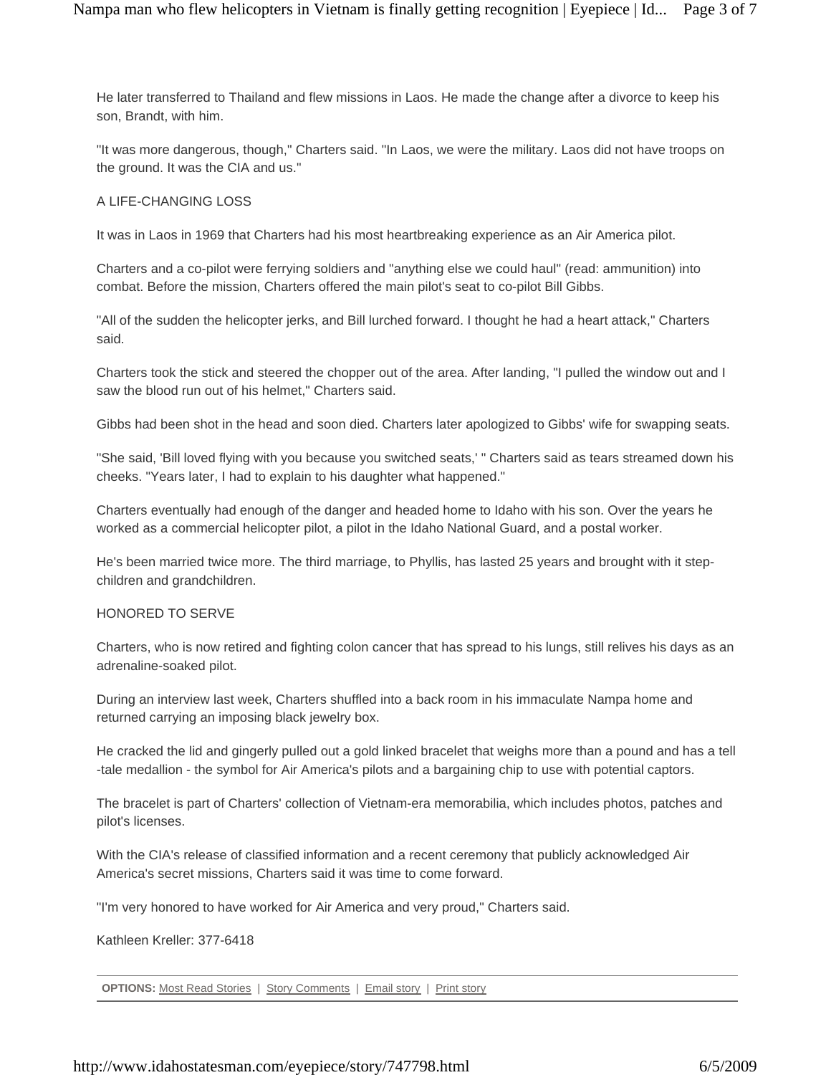He later transferred to Thailand and flew missions in Laos. He made the change after a divorce to keep his son, Brandt, with him.

"It was more dangerous, though," Charters said. "In Laos, we were the military. Laos did not have troops on the ground. It was the CIA and us."

## A LIFE-CHANGING LOSS

It was in Laos in 1969 that Charters had his most heartbreaking experience as an Air America pilot.

Charters and a co-pilot were ferrying soldiers and "anything else we could haul" (read: ammunition) into combat. Before the mission, Charters offered the main pilot's seat to co-pilot Bill Gibbs.

"All of the sudden the helicopter jerks, and Bill lurched forward. I thought he had a heart attack," Charters said.

Charters took the stick and steered the chopper out of the area. After landing, "I pulled the window out and I saw the blood run out of his helmet," Charters said.

Gibbs had been shot in the head and soon died. Charters later apologized to Gibbs' wife for swapping seats.

"She said, 'Bill loved flying with you because you switched seats,' " Charters said as tears streamed down his cheeks. "Years later, I had to explain to his daughter what happened."

Charters eventually had enough of the danger and headed home to Idaho with his son. Over the years he worked as a commercial helicopter pilot, a pilot in the Idaho National Guard, and a postal worker.

He's been married twice more. The third marriage, to Phyllis, has lasted 25 years and brought with it stepchildren and grandchildren.

### HONORED TO SERVE

Charters, who is now retired and fighting colon cancer that has spread to his lungs, still relives his days as an adrenaline-soaked pilot.

During an interview last week, Charters shuffled into a back room in his immaculate Nampa home and returned carrying an imposing black jewelry box.

He cracked the lid and gingerly pulled out a gold linked bracelet that weighs more than a pound and has a tell -tale medallion - the symbol for Air America's pilots and a bargaining chip to use with potential captors.

The bracelet is part of Charters' collection of Vietnam-era memorabilia, which includes photos, patches and pilot's licenses.

With the CIA's release of classified information and a recent ceremony that publicly acknowledged Air America's secret missions, Charters said it was time to come forward.

"I'm very honored to have worked for Air America and very proud," Charters said.

Kathleen Kreller: 377-6418

**OPTIONS:** Most Read Stories | Story Comments | Email story | Print story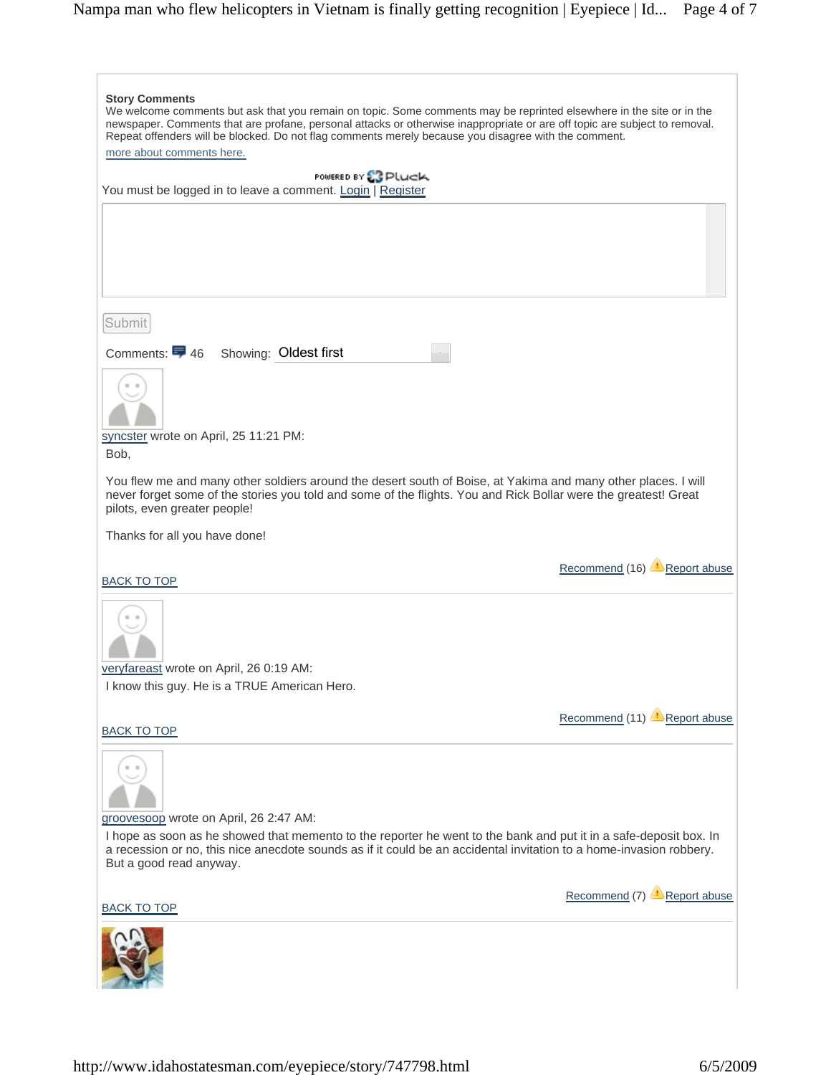| <b>Story Comments</b><br>We welcome comments but ask that you remain on topic. Some comments may be reprinted elsewhere in the site or in the                                                                                                                    |                                    |
|------------------------------------------------------------------------------------------------------------------------------------------------------------------------------------------------------------------------------------------------------------------|------------------------------------|
| newspaper. Comments that are profane, personal attacks or otherwise inappropriate or are off topic are subject to removal.<br>Repeat offenders will be blocked. Do not flag comments merely because you disagree with the comment.                               |                                    |
| more about comments here.                                                                                                                                                                                                                                        |                                    |
| POWERED BY & PLUCK                                                                                                                                                                                                                                               |                                    |
| You must be logged in to leave a comment. Login   Register                                                                                                                                                                                                       |                                    |
|                                                                                                                                                                                                                                                                  |                                    |
|                                                                                                                                                                                                                                                                  |                                    |
|                                                                                                                                                                                                                                                                  |                                    |
|                                                                                                                                                                                                                                                                  |                                    |
|                                                                                                                                                                                                                                                                  |                                    |
| Submit                                                                                                                                                                                                                                                           |                                    |
|                                                                                                                                                                                                                                                                  |                                    |
| Comments: 5 46 Showing: Oldest first                                                                                                                                                                                                                             |                                    |
|                                                                                                                                                                                                                                                                  |                                    |
|                                                                                                                                                                                                                                                                  |                                    |
|                                                                                                                                                                                                                                                                  |                                    |
| syncster wrote on April, 25 11:21 PM:<br>Bob,                                                                                                                                                                                                                    |                                    |
|                                                                                                                                                                                                                                                                  |                                    |
| You flew me and many other soldiers around the desert south of Boise, at Yakima and many other places. I will<br>never forget some of the stories you told and some of the flights. You and Rick Bollar were the greatest! Great<br>pilots, even greater people! |                                    |
| Thanks for all you have done!                                                                                                                                                                                                                                    |                                    |
|                                                                                                                                                                                                                                                                  |                                    |
| <b>BACK TO TOP</b>                                                                                                                                                                                                                                               | Recommend (16) <b>Report abuse</b> |
|                                                                                                                                                                                                                                                                  |                                    |
| veryfareast wrote on April, 26 0:19 AM:                                                                                                                                                                                                                          |                                    |
| I know this guy. He is a TRUE American Hero.                                                                                                                                                                                                                     |                                    |
| <b>BACK TO TOP</b>                                                                                                                                                                                                                                               | Recommend (11) <b>Report abuse</b> |
|                                                                                                                                                                                                                                                                  |                                    |
| groovesoop wrote on April, 26 2:47 AM:                                                                                                                                                                                                                           |                                    |
| I hope as soon as he showed that memento to the reporter he went to the bank and put it in a safe-deposit box. In                                                                                                                                                |                                    |
| a recession or no, this nice anecdote sounds as if it could be an accidental invitation to a home-invasion robbery.<br>But a good read anyway.                                                                                                                   |                                    |
| <b>BACK TO TOP</b>                                                                                                                                                                                                                                               | Recommend (7) <b>Report abuse</b>  |
|                                                                                                                                                                                                                                                                  |                                    |
|                                                                                                                                                                                                                                                                  |                                    |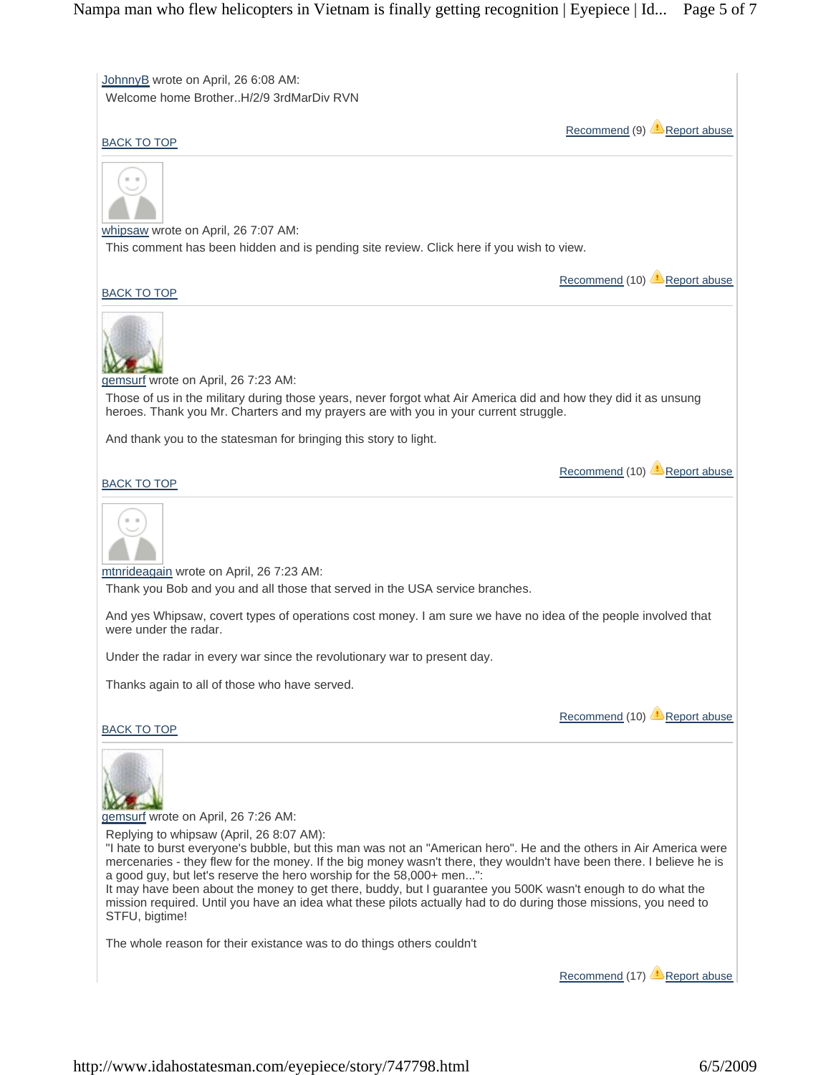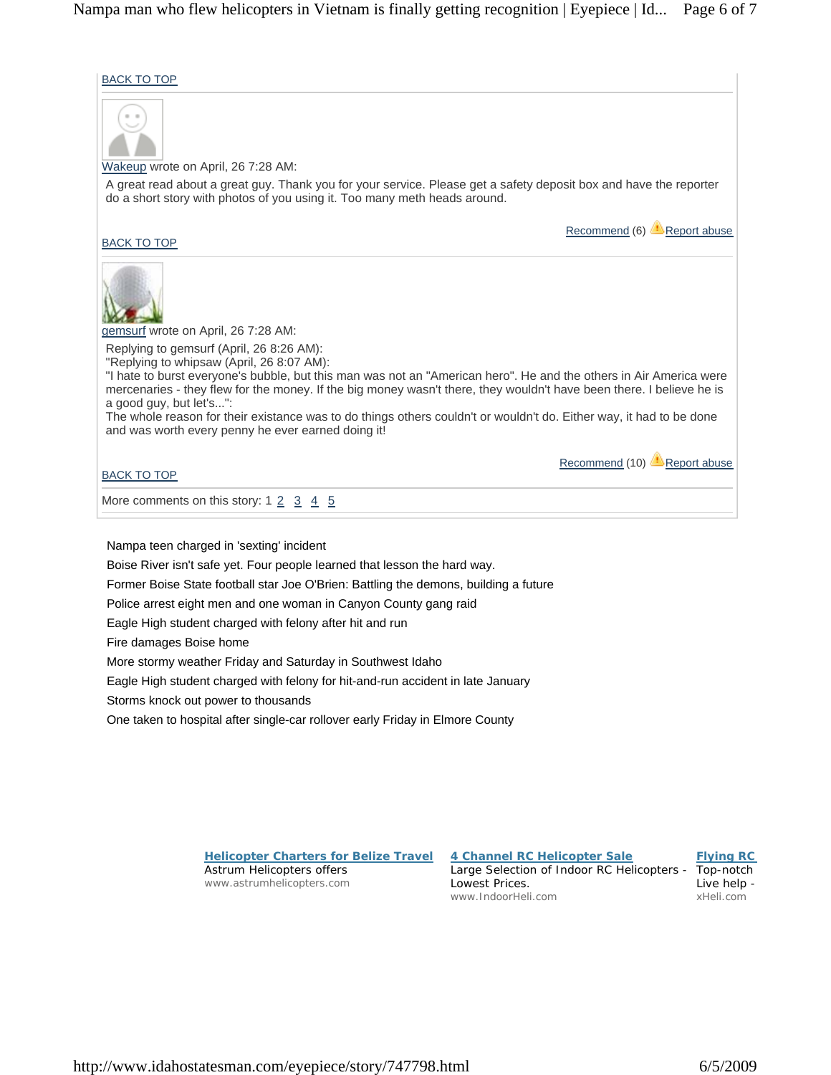BACK TO TOP



Nampa teen charged in 'sexting' incident Boise River isn't safe yet. Four people learned that lesson the hard way. Former Boise State football star Joe O'Brien: Battling the demons, building a future Police arrest eight men and one woman in Canyon County gang raid Eagle High student charged with felony after hit and run Fire damages Boise home More stormy weather Friday and Saturday in Southwest Idaho Eagle High student charged with felony for hit-and-run accident in late January Storms knock out power to thousands One taken to hospital after single-car rollover early Friday in Elmore County

> **Helicopter Charters for Belize Travel** Astrum Helicopters offers www.astrumhelicopters.com

**4 Channel RC Helicopter Sale** Large Selection of Indoor RC Helicopters - Top-notch Lowest Prices. www.IndoorHeli.com

**Flying RC**

Live help xHeli.com